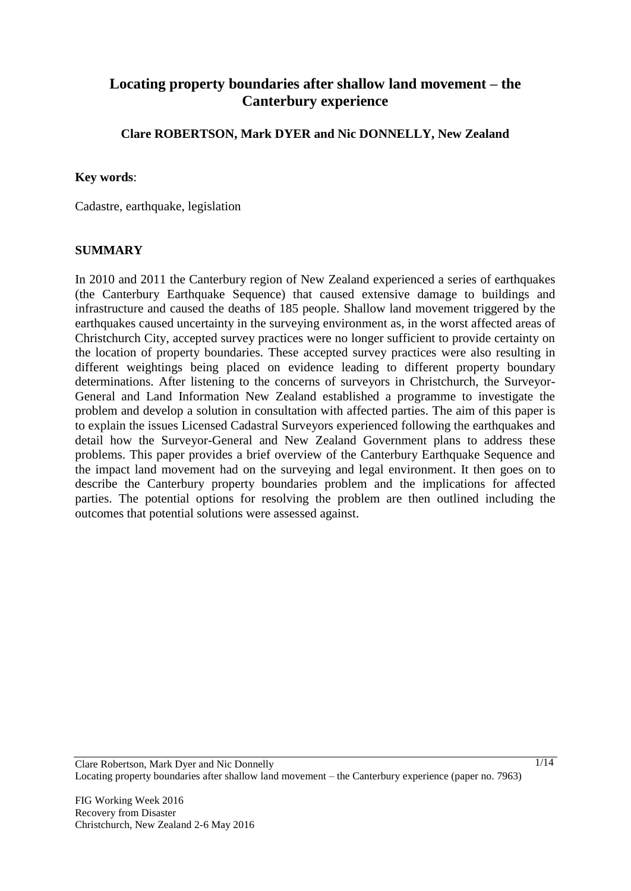# **Locating property boundaries after shallow land movement – the Canterbury experience**

**Clare ROBERTSON, Mark DYER and Nic DONNELLY, New Zealand** 

#### **Key words**:

Cadastre, earthquake, legislation

#### **SUMMARY**

In 2010 and 2011 the Canterbury region of New Zealand experienced a series of earthquakes (the Canterbury Earthquake Sequence) that caused extensive damage to buildings and infrastructure and caused the deaths of 185 people. Shallow land movement triggered by the earthquakes caused uncertainty in the surveying environment as, in the worst affected areas of Christchurch City, accepted survey practices were no longer sufficient to provide certainty on the location of property boundaries. These accepted survey practices were also resulting in different weightings being placed on evidence leading to different property boundary determinations. After listening to the concerns of surveyors in Christchurch, the Surveyor-General and Land Information New Zealand established a programme to investigate the problem and develop a solution in consultation with affected parties. The aim of this paper is to explain the issues Licensed Cadastral Surveyors experienced following the earthquakes and detail how the Surveyor-General and New Zealand Government plans to address these problems. This paper provides a brief overview of the Canterbury Earthquake Sequence and the impact land movement had on the surveying and legal environment. It then goes on to describe the Canterbury property boundaries problem and the implications for affected parties. The potential options for resolving the problem are then outlined including the outcomes that potential solutions were assessed against.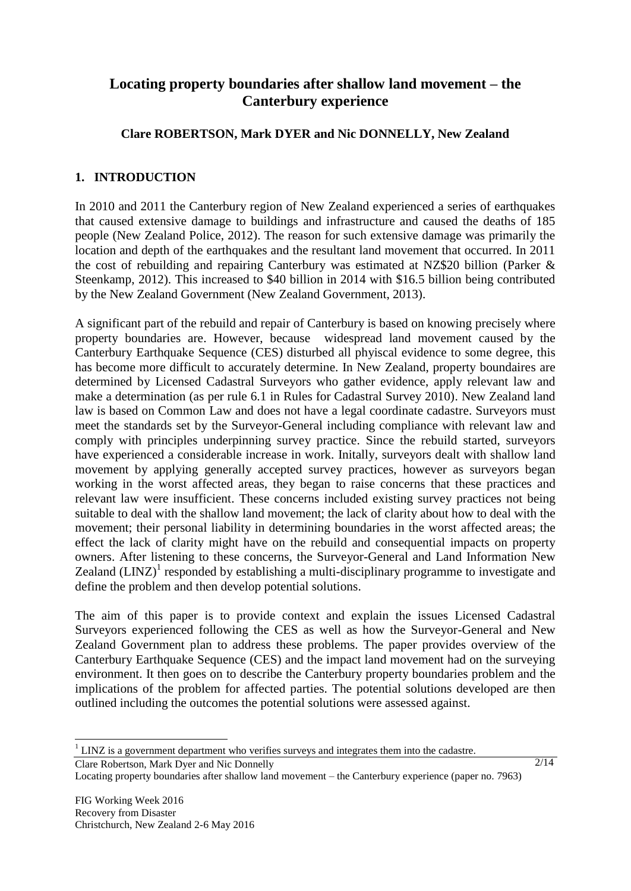# **Locating property boundaries after shallow land movement – the Canterbury experience**

# **Clare ROBERTSON, Mark DYER and Nic DONNELLY, New Zealand**

# **1. INTRODUCTION**

In 2010 and 2011 the Canterbury region of New Zealand experienced a series of earthquakes that caused extensive damage to buildings and infrastructure and caused the deaths of 185 people (New Zealand Police, 2012). The reason for such extensive damage was primarily the location and depth of the earthquakes and the resultant land movement that occurred. In 2011 the cost of rebuilding and repairing Canterbury was estimated at NZ\$20 billion (Parker & Steenkamp, 2012). This increased to \$40 billion in 2014 with \$16.5 billion being contributed by the New Zealand Government (New Zealand Government, 2013).

A significant part of the rebuild and repair of Canterbury is based on knowing precisely where property boundaries are. However, because widespread land movement caused by the Canterbury Earthquake Sequence (CES) disturbed all phyiscal evidence to some degree, this has become more difficult to accurately determine. In New Zealand, property boundaires are determined by Licensed Cadastral Surveyors who gather evidence, apply relevant law and make a determination (as per rule 6.1 in Rules for Cadastral Survey 2010). New Zealand land law is based on Common Law and does not have a legal coordinate cadastre. Surveyors must meet the standards set by the Surveyor-General including compliance with relevant law and comply with principles underpinning survey practice. Since the rebuild started, surveyors have experienced a considerable increase in work. Initally, surveyors dealt with shallow land movement by applying generally accepted survey practices, however as surveyors began working in the worst affected areas, they began to raise concerns that these practices and relevant law were insufficient. These concerns included existing survey practices not being suitable to deal with the shallow land movement; the lack of clarity about how to deal with the movement; their personal liability in determining boundaries in the worst affected areas; the effect the lack of clarity might have on the rebuild and consequential impacts on property owners. After listening to these concerns, the Surveyor-General and Land Information New Zealand  $(LINZ)^{1}$  responded by establishing a multi-disciplinary programme to investigate and define the problem and then develop potential solutions.

The aim of this paper is to provide context and explain the issues Licensed Cadastral Surveyors experienced following the CES as well as how the Surveyor-General and New Zealand Government plan to address these problems. The paper provides overview of the Canterbury Earthquake Sequence (CES) and the impact land movement had on the surveying environment. It then goes on to describe the Canterbury property boundaries problem and the implications of the problem for affected parties. The potential solutions developed are then outlined including the outcomes the potential solutions were assessed against.

Clare Robertson, Mark Dyer and Nic Donnelly Locating property boundaries after shallow land movement – the Canterbury experience (paper no. 7963)

 $\overline{a}$ 

 $1$  LINZ is a government department who verifies surveys and integrates them into the cadastre.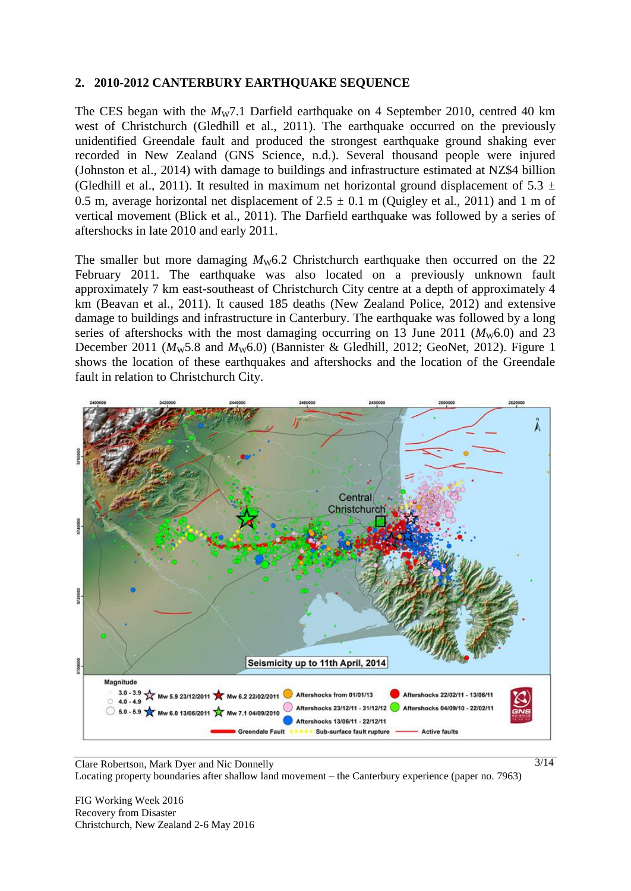#### **2. 2010-2012 CANTERBURY EARTHQUAKE SEQUENCE**

The CES began with the *Mw*7.1 Darfield earthquake on 4 September 2010, centred 40 km west of Christchurch (Gledhill et al., 2011). The earthquake occurred on the previously unidentified Greendale fault and produced the strongest earthquake ground shaking ever recorded in New Zealand (GNS Science, n.d.). Several thousand people were injured (Johnston et al., 2014) with damage to buildings and infrastructure estimated at NZ\$4 billion (Gledhill et al., 2011). It resulted in maximum net horizontal ground displacement of 5.3  $\pm$ 0.5 m, average horizontal net displacement of  $2.5 \pm 0.1$  m (Quigley et al., 2011) and 1 m of vertical movement (Blick et al., 2011). The Darfield earthquake was followed by a series of aftershocks in late 2010 and early 2011.

The smaller but more damaging  $M_{\rm W}6.2$  Christchurch earthquake then occurred on the 22 February 2011. The earthquake was also located on a previously unknown fault approximately 7 km east-southeast of Christchurch City centre at a depth of approximately 4 km (Beavan et al., 2011). It caused 185 deaths (New Zealand Police, 2012) and extensive damage to buildings and infrastructure in Canterbury. The earthquake was followed by a long series of aftershocks with the most damaging occurring on 13 June 2011 ( $M<sub>W</sub>6.0$ ) and 23 December 2011 ( $M<sub>w</sub>5.8$  and  $M<sub>w</sub>6.0$ ) (Bannister & Gledhill, 2012; GeoNet, 2012). [Figure 1](#page-3-0) shows the location of these earthquakes and aftershocks and the location of the Greendale fault in relation to Christchurch City.



Clare Robertson, Mark Dyer and Nic Donnelly Locating property boundaries after shallow land movement – the Canterbury experience (paper no. 7963)

FIG Working Week 2016 Recovery from Disaster Christchurch, New Zealand 2-6 May 2016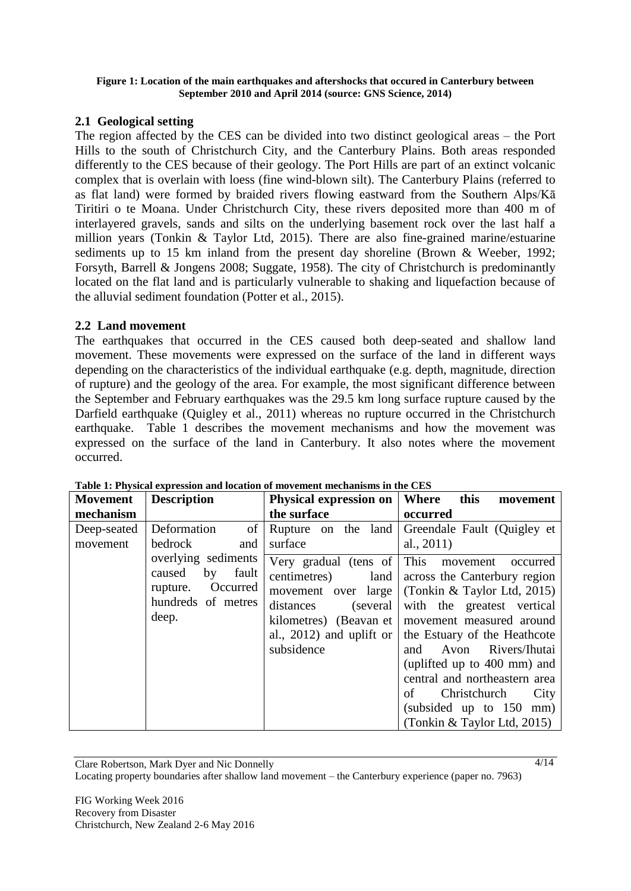#### <span id="page-3-0"></span>**Figure 1: Location of the main earthquakes and aftershocks that occured in Canterbury between September 2010 and April 2014 (source: GNS Science, 2014)**

## **2.1 Geological setting**

The region affected by the CES can be divided into two distinct geological areas – the Port Hills to the south of Christchurch City, and the Canterbury Plains. Both areas responded differently to the CES because of their geology. The Port Hills are part of an extinct volcanic complex that is overlain with loess (fine wind-blown silt). The Canterbury Plains (referred to as flat land) were formed by braided rivers flowing eastward from the Southern Alps/Kā Tiritiri o te Moana. Under Christchurch City, these rivers deposited more than 400 m of interlayered gravels, sands and silts on the underlying basement rock over the last half a million years (Tonkin & Taylor Ltd, 2015). There are also fine-grained marine/estuarine sediments up to 15 km inland from the present day shoreline (Brown & Weeber, 1992; Forsyth, Barrell & Jongens 2008; Suggate, 1958). The city of Christchurch is predominantly located on the flat land and is particularly vulnerable to shaking and liquefaction because of the alluvial sediment foundation (Potter et al., 2015).

#### **2.2 Land movement**

The earthquakes that occurred in the CES caused both deep-seated and shallow land movement. These movements were expressed on the surface of the land in different ways depending on the characteristics of the individual earthquake (e.g. depth, magnitude, direction of rupture) and the geology of the area. For example, the most significant difference between the September and February earthquakes was the 29.5 km long surface rupture caused by the Darfield earthquake (Quigley et al., 2011) whereas no rupture occurred in the Christchurch earthquake. [Table 1](#page-3-1) describes the movement mechanisms and how the movement was expressed on the surface of the land in Canterbury. It also notes where the movement occurred.

| <b>Movement</b>         | <b>Description</b>                                                                                  | Physical expression on                                                                                                                                | Where<br>this<br>movement                                                                                                                                                                                                                                                                                                                                                         |
|-------------------------|-----------------------------------------------------------------------------------------------------|-------------------------------------------------------------------------------------------------------------------------------------------------------|-----------------------------------------------------------------------------------------------------------------------------------------------------------------------------------------------------------------------------------------------------------------------------------------------------------------------------------------------------------------------------------|
| mechanism               |                                                                                                     | the surface                                                                                                                                           | occurred                                                                                                                                                                                                                                                                                                                                                                          |
| Deep-seated<br>movement | of<br>Deformation<br>bedrock<br>and                                                                 | Rupture on the land<br>surface                                                                                                                        | Greendale Fault (Quigley et<br>al., $2011$ )                                                                                                                                                                                                                                                                                                                                      |
|                         | overlying sediments<br>by<br>caused<br>fault<br>Occurred<br>rupture.<br>hundreds of metres<br>deep. | Very gradual (tens of This movement<br>centimetres)<br>land<br>movement over large<br>distances<br>(several<br>al., 2012) and uplift or<br>subsidence | occurred<br>across the Canterbury region<br>(Tonkin $&$ Taylor Ltd, 2015)<br>with the greatest vertical<br>kilometres) (Beavan et   movement measured around<br>the Estuary of the Heathcote<br>Avon Rivers/Ihutai<br>and<br>(uplifted up to 400 mm) and<br>central and northeastern area<br>of<br>Christchurch<br>City<br>(subsided up to 150 mm)<br>(Tonkin & Taylor Ltd, 2015) |

<span id="page-3-1"></span>**Table 1: Physical expression and location of movement mechanisms in the CES**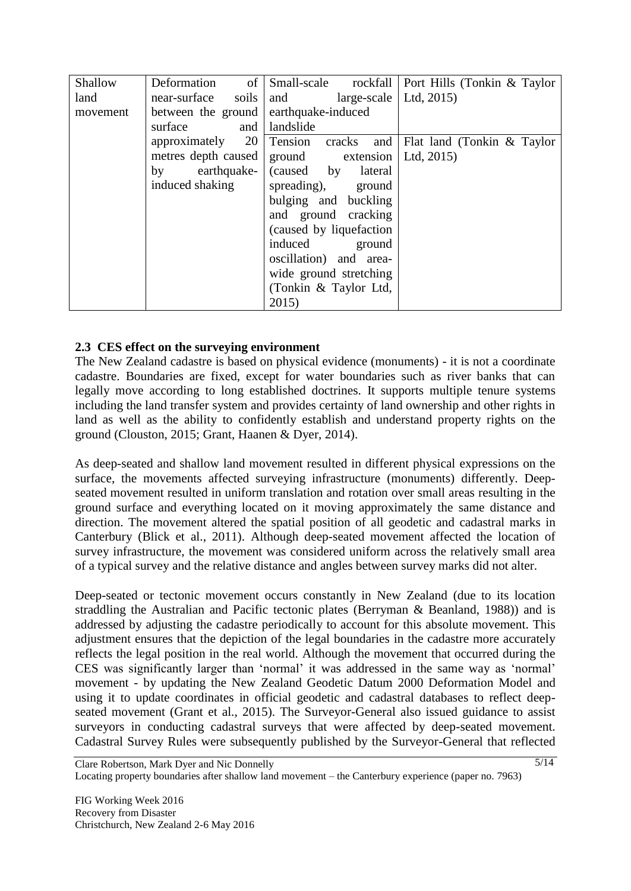| Shallow  | Deformation of                        |                                          | Small-scale rockfall   Port Hills (Tonkin & Taylor |
|----------|---------------------------------------|------------------------------------------|----------------------------------------------------|
| land     | near-surface<br>soils                 | $\text{large-scale}$   Ltd, 2015)<br>and |                                                    |
| movement | between the ground earthquake-induced |                                          |                                                    |
|          | surface<br>and                        | landslide                                |                                                    |
|          | 20<br>approximately                   | Tension                                  | cracks and Flat land (Tonkin & Taylor              |
|          | metres depth caused                   | ground extension   Ltd, 2015)            |                                                    |
|          | by                                    | earthquake- (caused by<br>lateral        |                                                    |
|          | induced shaking                       | spreading), ground                       |                                                    |
|          |                                       | bulging and buckling                     |                                                    |
|          |                                       | and ground cracking                      |                                                    |
|          |                                       | (caused by liquefaction)                 |                                                    |
|          |                                       | induced ground                           |                                                    |
|          |                                       | oscillation) and area-                   |                                                    |
|          |                                       | wide ground stretching                   |                                                    |
|          |                                       | (Tonkin & Taylor Ltd,                    |                                                    |
|          |                                       | 2015                                     |                                                    |

## **2.3 CES effect on the surveying environment**

The New Zealand cadastre is based on physical evidence (monuments) - it is not a coordinate cadastre. Boundaries are fixed, except for water boundaries such as river banks that can legally move according to long established doctrines. It supports multiple tenure systems including the land transfer system and provides certainty of land ownership and other rights in land as well as the ability to confidently establish and understand property rights on the ground (Clouston, 2015; Grant, Haanen & Dyer, 2014).

As deep-seated and shallow land movement resulted in different physical expressions on the surface, the movements affected surveying infrastructure (monuments) differently. Deepseated movement resulted in uniform translation and rotation over small areas resulting in the ground surface and everything located on it moving approximately the same distance and direction. The movement altered the spatial position of all geodetic and cadastral marks in Canterbury (Blick et al., 2011). Although deep-seated movement affected the location of survey infrastructure, the movement was considered uniform across the relatively small area of a typical survey and the relative distance and angles between survey marks did not alter.

Deep-seated or tectonic movement occurs constantly in New Zealand (due to its location straddling the Australian and Pacific tectonic plates (Berryman & Beanland, 1988)) and is addressed by adjusting the cadastre periodically to account for this absolute movement. This adjustment ensures that the depiction of the legal boundaries in the cadastre more accurately reflects the legal position in the real world. Although the movement that occurred during the CES was significantly larger than 'normal' it was addressed in the same way as 'normal' movement - by updating the New Zealand Geodetic Datum 2000 Deformation Model and using it to update coordinates in official geodetic and cadastral databases to reflect deepseated movement (Grant et al., 2015). The Surveyor-General also issued guidance to assist surveyors in conducting cadastral surveys that were affected by deep-seated movement. Cadastral Survey Rules were subsequently published by the Surveyor-General that reflected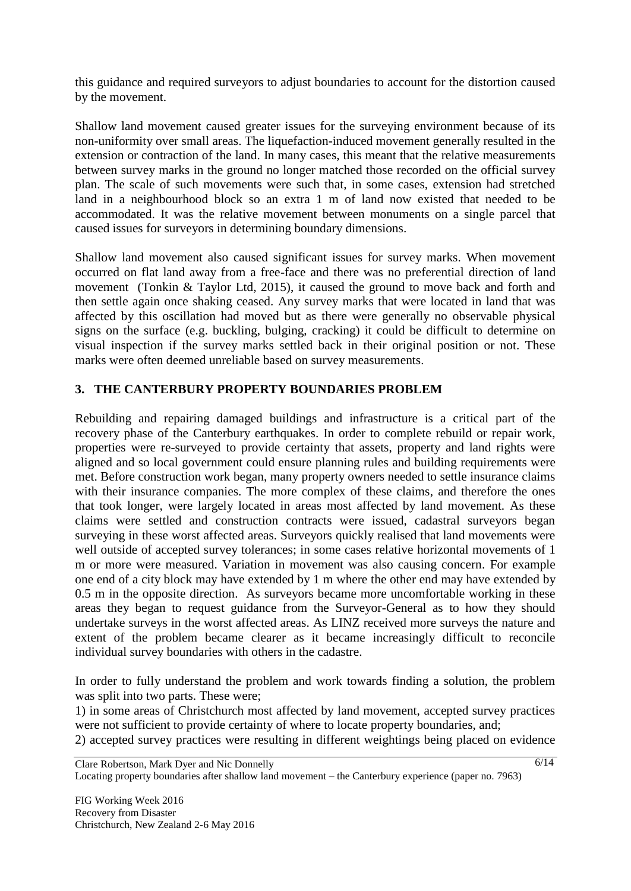this guidance and required surveyors to adjust boundaries to account for the distortion caused by the movement.

Shallow land movement caused greater issues for the surveying environment because of its non-uniformity over small areas. The liquefaction-induced movement generally resulted in the extension or contraction of the land. In many cases, this meant that the relative measurements between survey marks in the ground no longer matched those recorded on the official survey plan. The scale of such movements were such that, in some cases, extension had stretched land in a neighbourhood block so an extra 1 m of land now existed that needed to be accommodated. It was the relative movement between monuments on a single parcel that caused issues for surveyors in determining boundary dimensions.

Shallow land movement also caused significant issues for survey marks. When movement occurred on flat land away from a free-face and there was no preferential direction of land movement (Tonkin & Taylor Ltd, 2015), it caused the ground to move back and forth and then settle again once shaking ceased. Any survey marks that were located in land that was affected by this oscillation had moved but as there were generally no observable physical signs on the surface (e.g. buckling, bulging, cracking) it could be difficult to determine on visual inspection if the survey marks settled back in their original position or not. These marks were often deemed unreliable based on survey measurements.

## **3. THE CANTERBURY PROPERTY BOUNDARIES PROBLEM**

Rebuilding and repairing damaged buildings and infrastructure is a critical part of the recovery phase of the Canterbury earthquakes. In order to complete rebuild or repair work, properties were re-surveyed to provide certainty that assets, property and land rights were aligned and so local government could ensure planning rules and building requirements were met. Before construction work began, many property owners needed to settle insurance claims with their insurance companies. The more complex of these claims, and therefore the ones that took longer, were largely located in areas most affected by land movement. As these claims were settled and construction contracts were issued, cadastral surveyors began surveying in these worst affected areas. Surveyors quickly realised that land movements were well outside of accepted survey tolerances; in some cases relative horizontal movements of 1 m or more were measured. Variation in movement was also causing concern. For example one end of a city block may have extended by 1 m where the other end may have extended by 0.5 m in the opposite direction. As surveyors became more uncomfortable working in these areas they began to request guidance from the Surveyor-General as to how they should undertake surveys in the worst affected areas. As LINZ received more surveys the nature and extent of the problem became clearer as it became increasingly difficult to reconcile individual survey boundaries with others in the cadastre.

In order to fully understand the problem and work towards finding a solution, the problem was split into two parts. These were;

1) in some areas of Christchurch most affected by land movement, accepted survey practices were not sufficient to provide certainty of where to locate property boundaries, and;

2) accepted survey practices were resulting in different weightings being placed on evidence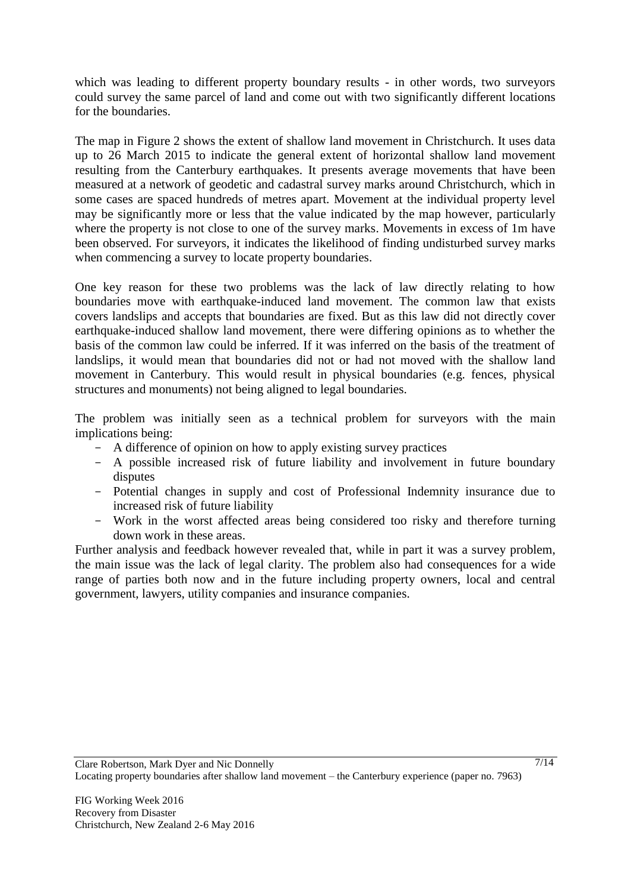which was leading to different property boundary results - in other words, two surveyors could survey the same parcel of land and come out with two significantly different locations for the boundaries.

The map in [Figure 2](#page-7-0) shows the extent of shallow land movement in Christchurch. It uses data up to 26 March 2015 to indicate the general extent of horizontal shallow land movement resulting from the Canterbury earthquakes. It presents average movements that have been measured at a network of geodetic and cadastral survey marks around Christchurch, which in some cases are spaced hundreds of metres apart. Movement at the individual property level may be significantly more or less that the value indicated by the map however, particularly where the property is not close to one of the survey marks. Movements in excess of 1m have been observed. For surveyors, it indicates the likelihood of finding undisturbed survey marks when commencing a survey to locate property boundaries.

One key reason for these two problems was the lack of law directly relating to how boundaries move with earthquake-induced land movement. The common law that exists covers landslips and accepts that boundaries are fixed. But as this law did not directly cover earthquake-induced shallow land movement, there were differing opinions as to whether the basis of the common law could be inferred. If it was inferred on the basis of the treatment of landslips, it would mean that boundaries did not or had not moved with the shallow land movement in Canterbury. This would result in physical boundaries (e.g. fences, physical structures and monuments) not being aligned to legal boundaries.

The problem was initially seen as a technical problem for surveyors with the main implications being:

- A difference of opinion on how to apply existing survey practices
- A possible increased risk of future liability and involvement in future boundary disputes
- Potential changes in supply and cost of Professional Indemnity insurance due to increased risk of future liability
- Work in the worst affected areas being considered too risky and therefore turning down work in these areas.

Further analysis and feedback however revealed that, while in part it was a survey problem, the main issue was the lack of legal clarity. The problem also had consequences for a wide range of parties both now and in the future including property owners, local and central government, lawyers, utility companies and insurance companies.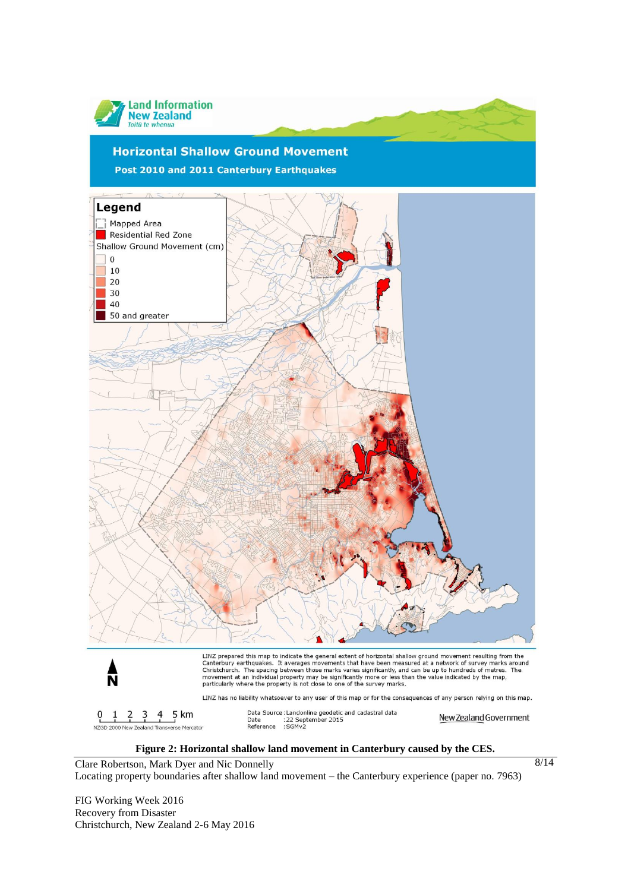

#### **Figure 2: Horizontal shallow land movement in Canterbury caused by the CES.**

8/14

<span id="page-7-0"></span>Clare Robertson, Mark Dyer and Nic Donnelly Locating property boundaries after shallow land movement – the Canterbury experience (paper no. 7963)

FIG Working Week 2016 Recovery from Disaster Christchurch, New Zealand 2-6 May 2016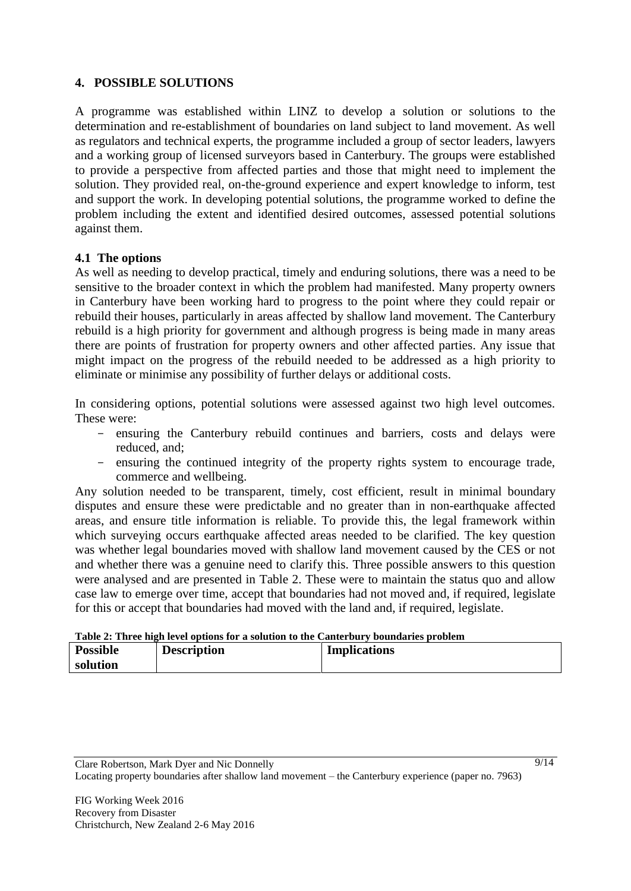## **4. POSSIBLE SOLUTIONS**

A programme was established within LINZ to develop a solution or solutions to the determination and re-establishment of boundaries on land subject to land movement. As well as regulators and technical experts, the programme included a group of sector leaders, lawyers and a working group of licensed surveyors based in Canterbury. The groups were established to provide a perspective from affected parties and those that might need to implement the solution. They provided real, on-the-ground experience and expert knowledge to inform, test and support the work. In developing potential solutions, the programme worked to define the problem including the extent and identified desired outcomes, assessed potential solutions against them.

## **4.1 The options**

As well as needing to develop practical, timely and enduring solutions, there was a need to be sensitive to the broader context in which the problem had manifested. Many property owners in Canterbury have been working hard to progress to the point where they could repair or rebuild their houses, particularly in areas affected by shallow land movement. The Canterbury rebuild is a high priority for government and although progress is being made in many areas there are points of frustration for property owners and other affected parties. Any issue that might impact on the progress of the rebuild needed to be addressed as a high priority to eliminate or minimise any possibility of further delays or additional costs.

In considering options, potential solutions were assessed against two high level outcomes. These were:

- ensuring the Canterbury rebuild continues and barriers, costs and delays were reduced, and;
- ensuring the continued integrity of the property rights system to encourage trade, commerce and wellbeing.

Any solution needed to be transparent, timely, cost efficient, result in minimal boundary disputes and ensure these were predictable and no greater than in non-earthquake affected areas, and ensure title information is reliable. To provide this, the legal framework within which surveying occurs earthquake affected areas needed to be clarified. The key question was whether legal boundaries moved with shallow land movement caused by the CES or not and whether there was a genuine need to clarify this. Three possible answers to this question were analysed and are presented in [Table 2.](#page-8-0) These were to maintain the status quo and allow case law to emerge over time, accept that boundaries had not moved and, if required, legislate for this or accept that boundaries had moved with the land and, if required, legislate.

<span id="page-8-0"></span>

| Table 2: Three high level options for a solution to the Canterbury boundaries problem |  |
|---------------------------------------------------------------------------------------|--|
|---------------------------------------------------------------------------------------|--|

| <b>Possible</b> | <b>Description</b> | <b>Implications</b> |  |
|-----------------|--------------------|---------------------|--|
| solution        |                    |                     |  |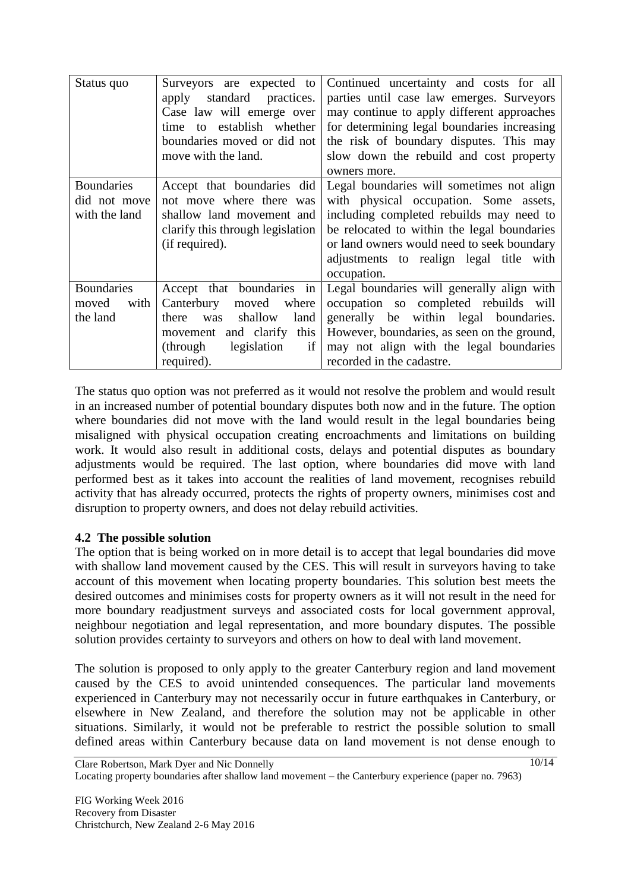| Status quo                                         | Surveyors are expected to<br>standard<br>practices.<br>apply<br>Case law will emerge over<br>establish whether<br>to<br>time<br>boundaries moved or did not<br>move with the land. | Continued uncertainty and costs for all<br>parties until case law emerges. Surveyors<br>may continue to apply different approaches<br>for determining legal boundaries increasing<br>the risk of boundary disputes. This may<br>slow down the rebuild and cost property<br>owners more. |
|----------------------------------------------------|------------------------------------------------------------------------------------------------------------------------------------------------------------------------------------|-----------------------------------------------------------------------------------------------------------------------------------------------------------------------------------------------------------------------------------------------------------------------------------------|
| <b>Boundaries</b><br>did not move<br>with the land | Accept that boundaries did<br>not move where there was<br>shallow land movement and<br>clarify this through legislation<br>(if required).                                          | Legal boundaries will sometimes not align<br>with physical occupation. Some assets,<br>including completed rebuilds may need to<br>be relocated to within the legal boundaries<br>or land owners would need to seek boundary<br>adjustments to realign legal title with<br>occupation.  |
| <b>Boundaries</b><br>with<br>moved<br>the land     | Accept that boundaries in<br>Canterbury<br>moved<br>where<br>shallow<br>land<br>there<br>was<br>this<br>and clarify<br>movement<br>legislation<br>if<br>(through)<br>required).    | Legal boundaries will generally align with<br>occupation so completed rebuilds will<br>generally be within legal boundaries.<br>However, boundaries, as seen on the ground,<br>may not align with the legal boundaries<br>recorded in the cadastre.                                     |

The status quo option was not preferred as it would not resolve the problem and would result in an increased number of potential boundary disputes both now and in the future. The option where boundaries did not move with the land would result in the legal boundaries being misaligned with physical occupation creating encroachments and limitations on building work. It would also result in additional costs, delays and potential disputes as boundary adjustments would be required. The last option, where boundaries did move with land performed best as it takes into account the realities of land movement, recognises rebuild activity that has already occurred, protects the rights of property owners, minimises cost and disruption to property owners, and does not delay rebuild activities.

## **4.2 The possible solution**

The option that is being worked on in more detail is to accept that legal boundaries did move with shallow land movement caused by the CES. This will result in surveyors having to take account of this movement when locating property boundaries. This solution best meets the desired outcomes and minimises costs for property owners as it will not result in the need for more boundary readjustment surveys and associated costs for local government approval, neighbour negotiation and legal representation, and more boundary disputes. The possible solution provides certainty to surveyors and others on how to deal with land movement.

The solution is proposed to only apply to the greater Canterbury region and land movement caused by the CES to avoid unintended consequences. The particular land movements experienced in Canterbury may not necessarily occur in future earthquakes in Canterbury, or elsewhere in New Zealand, and therefore the solution may not be applicable in other situations. Similarly, it would not be preferable to restrict the possible solution to small defined areas within Canterbury because data on land movement is not dense enough to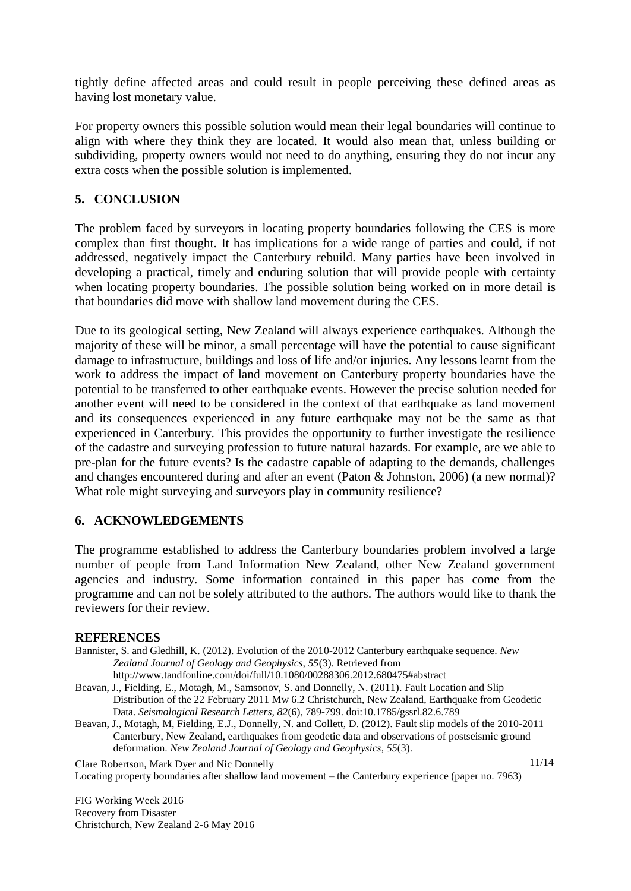tightly define affected areas and could result in people perceiving these defined areas as having lost monetary value.

For property owners this possible solution would mean their legal boundaries will continue to align with where they think they are located. It would also mean that, unless building or subdividing, property owners would not need to do anything, ensuring they do not incur any extra costs when the possible solution is implemented.

## **5. CONCLUSION**

The problem faced by surveyors in locating property boundaries following the CES is more complex than first thought. It has implications for a wide range of parties and could, if not addressed, negatively impact the Canterbury rebuild. Many parties have been involved in developing a practical, timely and enduring solution that will provide people with certainty when locating property boundaries. The possible solution being worked on in more detail is that boundaries did move with shallow land movement during the CES.

Due to its geological setting, New Zealand will always experience earthquakes. Although the majority of these will be minor, a small percentage will have the potential to cause significant damage to infrastructure, buildings and loss of life and/or injuries. Any lessons learnt from the work to address the impact of land movement on Canterbury property boundaries have the potential to be transferred to other earthquake events. However the precise solution needed for another event will need to be considered in the context of that earthquake as land movement and its consequences experienced in any future earthquake may not be the same as that experienced in Canterbury. This provides the opportunity to further investigate the resilience of the cadastre and surveying profession to future natural hazards. For example, are we able to pre-plan for the future events? Is the cadastre capable of adapting to the demands, challenges and changes encountered during and after an event (Paton & Johnston, 2006) (a new normal)? What role might surveying and surveyors play in community resilience?

# **6. ACKNOWLEDGEMENTS**

The programme established to address the Canterbury boundaries problem involved a large number of people from Land Information New Zealand, other New Zealand government agencies and industry. Some information contained in this paper has come from the programme and can not be solely attributed to the authors. The authors would like to thank the reviewers for their review.

#### **REFERENCES**

- Bannister, S. and Gledhill, K. (2012). Evolution of the 2010-2012 Canterbury earthquake sequence. *New Zealand Journal of Geology and Geophysics, 55*(3). Retrieved from
	- http://www.tandfonline.com/doi/full/10.1080/00288306.2012.680475#abstract
- Beavan, J., Fielding, E., Motagh, M., Samsonov, S. and Donnelly, N. (2011). Fault Location and Slip Distribution of the 22 February 2011 Mw 6.2 Christchurch, New Zealand, Earthquake from Geodetic Data. *Seismological Research Letters, 82*(6), 789-799. doi:10.1785/gssrl.82.6.789
- Beavan, J., Motagh, M, Fielding, E.J., Donnelly, N. and Collett, D. (2012). Fault slip models of the 2010-2011 Canterbury, New Zealand, earthquakes from geodetic data and observations of postseismic ground deformation. *New Zealand Journal of Geology and Geophysics, 55*(3).

Clare Robertson, Mark Dyer and Nic Donnelly Locating property boundaries after shallow land movement – the Canterbury experience (paper no. 7963)

FIG Working Week 2016 Recovery from Disaster Christchurch, New Zealand 2-6 May 2016  $11/14$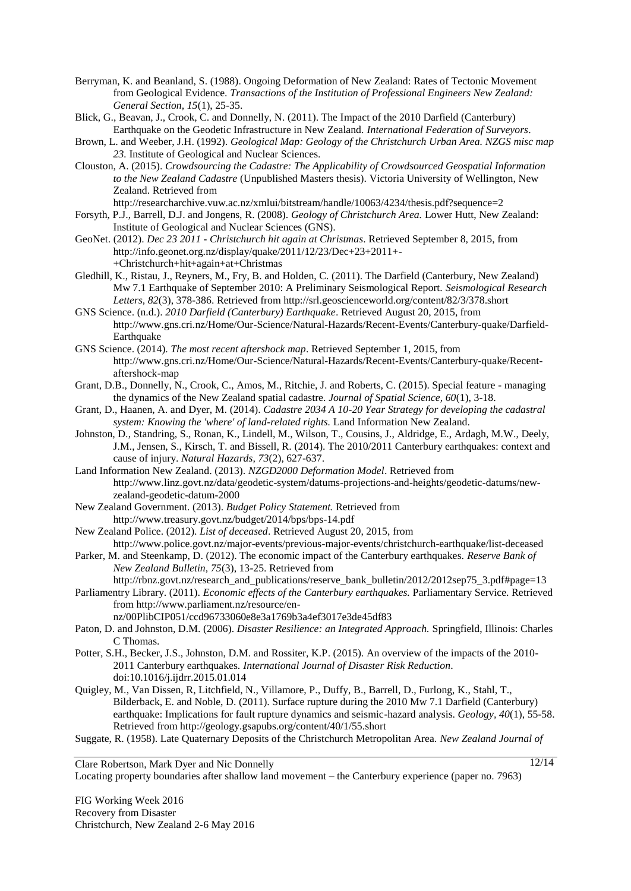- Berryman, K. and Beanland, S. (1988). Ongoing Deformation of New Zealand: Rates of Tectonic Movement from Geological Evidence. *Transactions of the Institution of Professional Engineers New Zealand: General Section, 15*(1), 25-35.
- Blick, G., Beavan, J., Crook, C. and Donnelly, N. (2011). The Impact of the 2010 Darfield (Canterbury) Earthquake on the Geodetic Infrastructure in New Zealand. *International Federation of Surveyors*.
- Brown, L. and Weeber, J.H. (1992). *Geological Map: Geology of the Christchurch Urban Area. NZGS misc map 23.* Institute of Geological and Nuclear Sciences.
- Clouston, A. (2015). *Crowdsourcing the Cadastre: The Applicability of Crowdsourced Geospatial Information to the New Zealand Cadastre* (Unpublished Masters thesis). Victoria University of Wellington, New Zealand. Retrieved from
- http://researcharchive.vuw.ac.nz/xmlui/bitstream/handle/10063/4234/thesis.pdf?sequence=2 Forsyth, P.J., Barrell, D.J. and Jongens, R. (2008). *Geology of Christchurch Area.* Lower Hutt, New Zealand:
- Institute of Geological and Nuclear Sciences (GNS). GeoNet. (2012). *Dec 23 2011 - Christchurch hit again at Christmas*. Retrieved September 8, 2015, from
- http://info.geonet.org.nz/display/quake/2011/12/23/Dec+23+2011+-
	- +Christchurch+hit+again+at+Christmas
- Gledhill, K., Ristau, J., Reyners, M., Fry, B. and Holden, C. (2011). The Darfield (Canterbury, New Zealand) Mw 7.1 Earthquake of September 2010: A Preliminary Seismological Report. *Seismological Research Letters, 82*(3), 378-386. Retrieved from http://srl.geoscienceworld.org/content/82/3/378.short
- GNS Science. (n.d.). *2010 Darfield (Canterbury) Earthquake*. Retrieved August 20, 2015, from http://www.gns.cri.nz/Home/Our-Science/Natural-Hazards/Recent-Events/Canterbury-quake/Darfield-Earthquake
- GNS Science. (2014). *The most recent aftershock map*. Retrieved September 1, 2015, from http://www.gns.cri.nz/Home/Our-Science/Natural-Hazards/Recent-Events/Canterbury-quake/Recentaftershock-map
- Grant, D.B., Donnelly, N., Crook, C., Amos, M., Ritchie, J. and Roberts, C. (2015). Special feature managing the dynamics of the New Zealand spatial cadastre. *Journal of Spatial Science, 60*(1), 3-18.
- Grant, D., Haanen, A. and Dyer, M. (2014). *Cadastre 2034 A 10-20 Year Strategy for developing the cadastral system: Knowing the 'where' of land-related rights.* Land Information New Zealand.
- Johnston, D., Standring, S., Ronan, K., Lindell, M., Wilson, T., Cousins, J., Aldridge, E., Ardagh, M.W., Deely, J.M., Jensen, S., Kirsch, T. and Bissell, R. (2014). The 2010/2011 Canterbury earthquakes: context and cause of injury. *Natural Hazards, 73*(2), 627-637.
- Land Information New Zealand. (2013). *NZGD2000 Deformation Model*. Retrieved from http://www.linz.govt.nz/data/geodetic-system/datums-projections-and-heights/geodetic-datums/newzealand-geodetic-datum-2000
- New Zealand Government. (2013). *Budget Policy Statement.* Retrieved from http://www.treasury.govt.nz/budget/2014/bps/bps-14.pdf
- New Zealand Police. (2012). *List of deceased*. Retrieved August 20, 2015, from http://www.police.govt.nz/major-events/previous-major-events/christchurch-earthquake/list-deceased
- Parker, M. and Steenkamp, D. (2012). The economic impact of the Canterbury earthquakes. *Reserve Bank of New Zealand Bulletin, 75*(3), 13-25. Retrieved from
	- http://rbnz.govt.nz/research\_and\_publications/reserve\_bank\_bulletin/2012/2012sep75\_3.pdf#page=13
- Parliamentry Library. (2011). *Economic effects of the Canterbury earthquakes.* Parliamentary Service. Retrieved from http://www.parliament.nz/resource/ennz/00PlibCIP051/ccd96733060e8e3a1769b3a4ef3017e3de45df83
- Paton, D. and Johnston, D.M. (2006). *Disaster Resilience: an Integrated Approach.* Springfield, Illinois: Charles C Thomas.
- Potter, S.H., Becker, J.S., Johnston, D.M. and Rossiter, K.P. (2015). An overview of the impacts of the 2010- 2011 Canterbury earthquakes. *International Journal of Disaster Risk Reduction*. doi:10.1016/j.ijdrr.2015.01.014
- Quigley, M., Van Dissen, R, Litchfield, N., Villamore, P., Duffy, B., Barrell, D., Furlong, K., Stahl, T., Bilderback, E. and Noble, D. (2011). Surface rupture during the 2010 Mw 7.1 Darfield (Canterbury) earthquake: Implications for fault rupture dynamics and seismic-hazard analysis. *Geology, 40*(1), 55-58. Retrieved from http://geology.gsapubs.org/content/40/1/55.short
- Suggate, R. (1958). Late Quaternary Deposits of the Christchurch Metropolitan Area. *New Zealand Journal of*

Clare Robertson, Mark Dyer and Nic Donnelly Locating property boundaries after shallow land movement – the Canterbury experience (paper no. 7963)

FIG Working Week 2016 Recovery from Disaster Christchurch, New Zealand 2-6 May 2016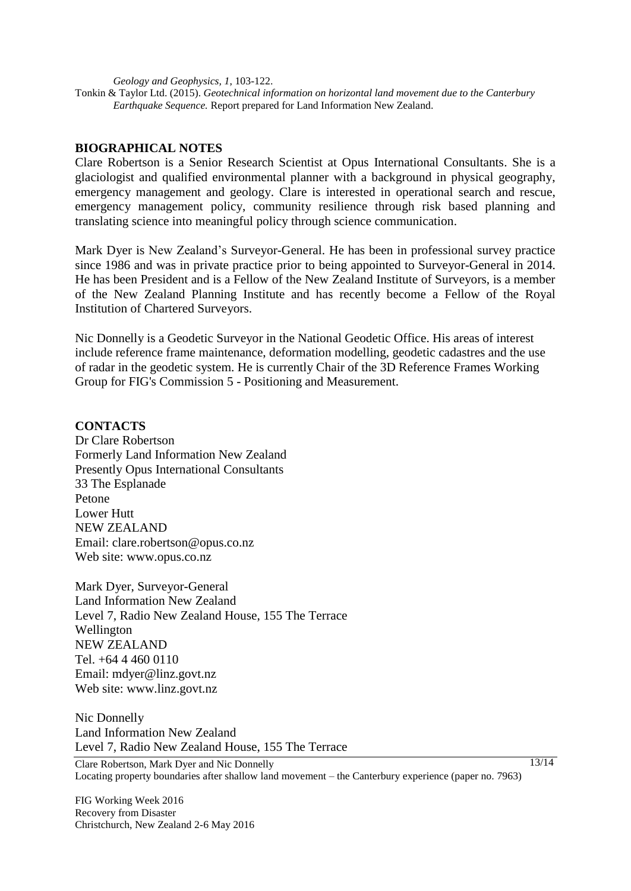*Geology and Geophysics, 1*, 103-122.

Tonkin & Taylor Ltd. (2015). *Geotechnical information on horizontal land movement due to the Canterbury Earthquake Sequence.* Report prepared for Land Information New Zealand.

#### **BIOGRAPHICAL NOTES**

Clare Robertson is a Senior Research Scientist at Opus International Consultants. She is a glaciologist and qualified environmental planner with a background in physical geography, emergency management and geology. Clare is interested in operational search and rescue, emergency management policy, community resilience through risk based planning and translating science into meaningful policy through science communication.

Mark Dyer is New Zealand's Surveyor-General. He has been in professional survey practice since 1986 and was in private practice prior to being appointed to Surveyor-General in 2014. He has been President and is a Fellow of the New Zealand Institute of Surveyors, is a member of the New Zealand Planning Institute and has recently become a Fellow of the Royal Institution of Chartered Surveyors.

Nic Donnelly is a Geodetic Surveyor in the National Geodetic Office. His areas of interest include reference frame maintenance, deformation modelling, geodetic cadastres and the use of radar in the geodetic system. He is currently Chair of the 3D Reference Frames Working Group for FIG's Commission 5 - Positioning and Measurement.

#### **CONTACTS**

Dr Clare Robertson Formerly Land Information New Zealand Presently Opus International Consultants 33 The Esplanade Petone Lower Hutt NEW ZEALAND Email: clare.robertson@opus.co.nz Web site: www.opus.co.nz

Mark Dyer, Surveyor-General Land Information New Zealand Level 7, Radio New Zealand House, 155 The Terrace Wellington NEW ZEALAND Tel. +64 4 460 0110 Email: mdyer@linz.govt.nz Web site: www.linz.govt.nz

Nic Donnelly Land Information New Zealand Level 7, Radio New Zealand House, 155 The Terrace

Clare Robertson, Mark Dyer and Nic Donnelly Locating property boundaries after shallow land movement – the Canterbury experience (paper no. 7963)

FIG Working Week 2016 Recovery from Disaster Christchurch, New Zealand 2-6 May 2016  $13/14$